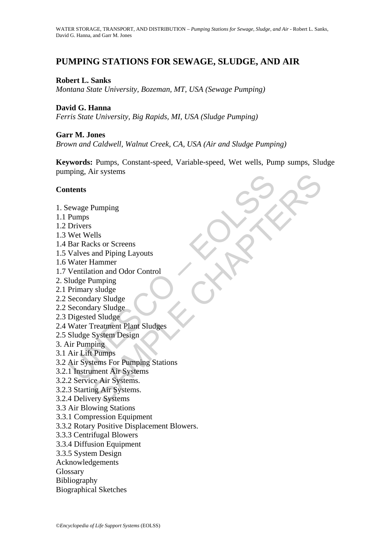# **PUMPING STATIONS FOR SEWAGE, SLUDGE, AND AIR**

# **Robert L. Sanks**

*Montana State University, Bozeman, MT, USA (Sewage Pumping)* 

### **David G. Hanna**

*Ferris State University, Big Rapids, MI, USA (Sludge Pumping)* 

#### **Garr M. Jones**

*Brown and Caldwell, Walnut Creek, CA, USA (Air and Sludge Pumping)* 

Pumping<br>
Rus Systems<br>
ecks or Screens<br>
and Piping Layouts<br>
Hammer<br>
Hammer<br>
stromagn Sludge<br>
ary Sludge<br>
ary Sludge<br>
Le Charles System Design<br>
Diping<br>
Premimes<br>
tems For Pumping Stations<br>
ment Air Systems<br>
ment Air Systems<br> **Keywords:** Pumps, Constant-speed, Variable-speed, Wet wells, Pump sumps, Sludge pumping, Air systems

#### **Contents**

- 1. Sewage Pumping
- 1.1 Pumps
- 1.2 Drivers
- 1.3 Wet Wells
- 1.4 Bar Racks or Screens
- 1.5 Valves and Piping Layouts
- 1.6 Water Hammer
- 1.7 Ventilation and Odor Control
- 2. Sludge Pumping
- 2.1 Primary sludge
- 2.2 Secondary Sludge
- 2.2 Secondary Sludge
- 2.3 Digested Sludge
- 2.4 Water Treatment Plant Sludges
- 2.5 Sludge System Design
- 3. Air Pumping
- 3.1 Air Lift Pumps
- rempt<br>
Itents<br>
ewage Pumping<br>
Pumps<br>
Drivers<br>
Derivers<br>
Wet Wells<br>
Bar Racks or Screens<br>
Valves and Piping Layouts<br>
Water Hammer<br>
Undge Pumping<br>
Primary sludge<br>
Secondary Sludge<br>
Secondary Sludge<br>
Secondary Sludge<br>
Seconda 3.2 Air Systems For Pumping Stations
- 3.2.1 Instrument Air Systems
- 3.2.2 Service Air Systems.
- 3.2.3 Starting Air Systems.
- 3.2.4 Delivery Systems
- 3.3 Air Blowing Stations
- 3.3.1 Compression Equipment
- 3.3.2 Rotary Positive Displacement Blowers.
- 3.3.3 Centrifugal Blowers
- 3.3.4 Diffusion Equipment
- 3.3.5 System Design
- Acknowledgements
- Glossary
- Bibliography
- Biographical Sketches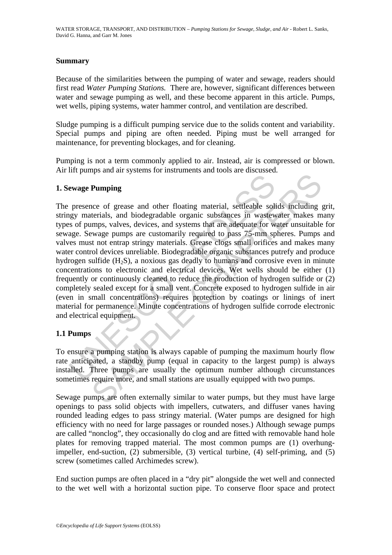### **Summary**

Because of the similarities between the pumping of water and sewage, readers should first read *Water Pumping Stations.* There are, however, significant differences between water and sewage pumping as well, and these become apparent in this article. Pumps, wet wells, piping systems, water hammer control, and ventilation are described.

Sludge pumping is a difficult pumping service due to the solids content and variability. Special pumps and piping are often needed. Piping must be well arranged for maintenance, for preventing blockages, and for cleaning.

Pumping is not a term commonly applied to air. Instead, air is compressed or blown. Air lift pumps and air systems for instruments and tools are discussed.

# **1. Sewage Pumping**

**EXECUTE:**<br> **EXECUTE:**<br> **EXECUTE:**<br> **EXECUTE:**<br> **EXECUTE:**<br> **EXECUTE:**<br> **EXECUTE:**<br> **EXECUTE:**<br> **EXECUTE:**<br> **EXECUTE:**<br> **EXECUTE:**<br> **EXECUTE:**<br> **EXECUTE:**<br> **EXECUTE:**<br> **EXECUTE:**<br> **EXECUTE:**<br> **EXECUTE:**<br> **EXECUTE:**<br> **EXECU** Pumping<br>
exce of grease and other floating material, settleable solids including<br>
terrials, and biodegradable organic substances in wastewater makes m<br>
emps, valves, devices, and systems that are adequate for water unsuita The presence of grease and other floating material, settleable solids including grit, stringy materials, and biodegradable organic substances in wastewater makes many types of pumps, valves, devices, and systems that are adequate for water unsuitable for sewage. Sewage pumps are customarily required to pass 75-mm spheres. Pumps and valves must not entrap stringy materials. Grease clogs small orifices and makes many water control devices unreliable. Biodegradable organic substances putrefy and produce hydrogen sulfide  $(H_2S)$ , a noxious gas deadly to humans and corrosive even in minute concentrations to electronic and electrical devices. Wet wells should be either (1) frequently or continuously cleaned to reduce the production of hydrogen sulfide or (2) completely sealed except for a small vent. Concrete exposed to hydrogen sulfide in air (even in small concentrations) requires protection by coatings or linings of inert material for permanence. Minute concentrations of hydrogen sulfide corrode electronic and electrical equipment.

# **1.1 Pumps**

To ensure a pumping station is always capable of pumping the maximum hourly flow rate anticipated, a standby pump (equal in capacity to the largest pump) is always installed. Three pumps are usually the optimum number although circumstances sometimes require more, and small stations are usually equipped with two pumps.

Sewage pumps are often externally similar to water pumps, but they must have large openings to pass solid objects with impellers, cutwaters, and diffuser vanes having rounded leading edges to pass stringy material. (Water pumps are designed for high efficiency with no need for large passages or rounded noses.) Although sewage pumps are called "nonclog", they occasionally do clog and are fitted with removable hand hole plates for removing trapped material. The most common pumps are (1) overhungimpeller, end-suction, (2) submersible, (3) vertical turbine, (4) self-priming, and (5) screw (sometimes called Archimedes screw).

End suction pumps are often placed in a "dry pit" alongside the wet well and connected to the wet well with a horizontal suction pipe. To conserve floor space and protect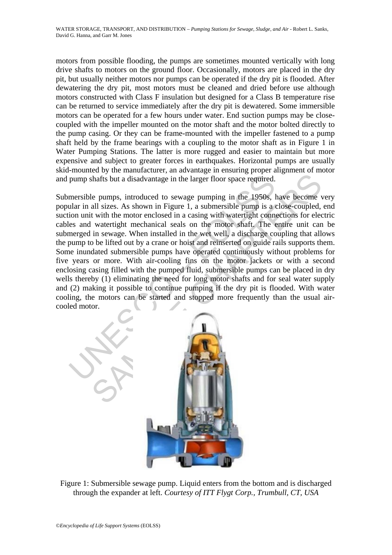motors from possible flooding, the pumps are sometimes mounted vertically with long drive shafts to motors on the ground floor. Occasionally, motors are placed in the dry pit, but usually neither motors nor pumps can be operated if the dry pit is flooded. After dewatering the dry pit, most motors must be cleaned and dried before use although motors constructed with Class F insulation but designed for a Class B temperature rise can be returned to service immediately after the dry pit is dewatered. Some immersible motors can be operated for a few hours under water. End suction pumps may be closecoupled with the impeller mounted on the motor shaft and the motor bolted directly to the pump casing. Or they can be frame-mounted with the impeller fastened to a pump shaft held by the frame bearings with a coupling to the motor shaft as in Figure 1 in Water Pumping Stations. The latter is more rugged and easier to maintain but more expensive and subject to greater forces in earthquakes. Horizontal pumps are usually skid-mounted by the manufacturer, an advantage in ensuring proper alignment of motor and pump shafts but a disadvantage in the larger floor space required.

pump shafts but a disadvantage in the larger floor space required.<br>
mersible pumps, introduced to sewage pumping in the 1950s, lular in all sizes. As shown in Figure 1, a submorsible pump is a consisted in a casing with wa shafts but a disadvantage in the larger floor space required.<br>
He pumps, introduced to sewage pumping in the 1950s, have become vall sizes. As shown in Figure 1, a submersible pump is a close-coupled, t with the motor encl Submersible pumps, introduced to sewage pumping in the 1950s, have become very popular in all sizes. As shown in Figure 1, a submersible pump is a close-coupled, end suction unit with the motor enclosed in a casing with watertight connections for electric cables and watertight mechanical seals on the motor shaft. The entire unit can be submerged in sewage. When installed in the wet well, a discharge coupling that allows the pump to be lifted out by a crane or hoist and reinserted on guide rails supports them. Some inundated submersible pumps have operated continuously without problems for five years or more. With air-cooling fins on the motor jackets or with a second enclosing casing filled with the pumped fluid, submersible pumps can be placed in dry wells thereby (1) eliminating the need for long motor shafts and for seal water supply and (2) making it possible to continue pumping if the dry pit is flooded. With water cooling, the motors can be started and stopped more frequently than the usual aircooled motor.



Figure 1: Submersible sewage pump. Liquid enters from the bottom and is discharged through the expander at left. *Courtesy of ITT Flygt Corp., Trumbull, CT, USA*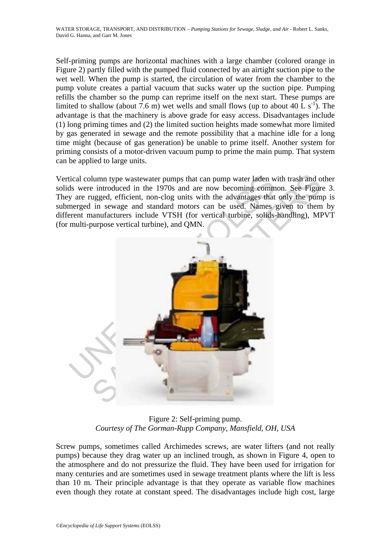Self-priming pumps are horizontal machines with a large chamber (colored orange in Figure 2) partly filled with the pumped fluid connected by an airtight suction pipe to the wet well. When the pump is started, the circulation of water from the chamber to the pump volute creates a partial vacuum that sucks water up the suction pipe. Pumping refills the chamber so the pump can reprime itself on the next start. These pumps are limited to shallow (about 7.6 m) wet wells and small flows (up to about 40 L  $s^{-1}$ ). The advantage is that the machinery is above grade for easy access. Disadvantages include (1) long priming times and (2) the limited suction heights made somewhat more limited by gas generated in sewage and the remote possibility that a machine idle for a long time might (because of gas generation) be unable to prime itself. Another system for priming consists of a motor-driven vacuum pump to prime the main pump. That system can be applied to large units.

Vertical column type wastewater pumps that can pump water laden with trash and other solids were introduced in the 1970s and are now becoming common. See Figure 3. They are rugged, efficient, non-clog units with the advantages that only the pump is submerged in sewage and standard motors can be used. Names given to them by different manufacturers include VTSH (for vertical turbine, solids-handling), MPVT (for multi-purpose vertical turbine), and QMN.



Figure 2: Self-priming pump. *Courtesy of The Gorman-Rupp Company, Mansfield, OH, USA* 

Screw pumps, sometimes called Archimedes screws, are water lifters (and not really pumps) because they drag water up an inclined trough, as shown in Figure 4, open to the atmosphere and do not pressurize the fluid. They have been used for irrigation for many centuries and are sometimes used in sewage treatment plants where the lift is less than 10 m. Their principle advantage is that they operate as variable flow machines even though they rotate at constant speed. The disadvantages include high cost, large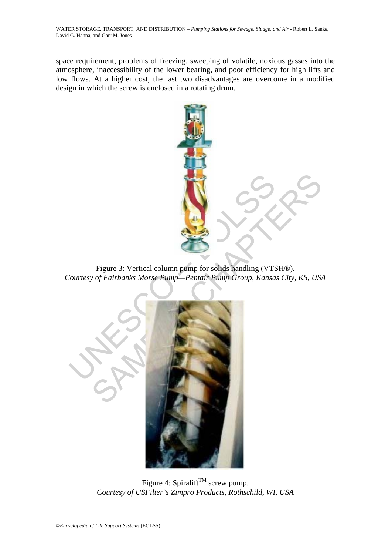space requirement, problems of freezing, sweeping of volatile, noxious gasses into the atmosphere, inaccessibility of the lower bearing, and poor efficiency for high lifts and low flows. At a higher cost, the last two disadvantages are overcome in a modified design in which the screw is enclosed in a rotating drum.

![](_page_4_Picture_2.jpeg)

Figure 3: Vertical column pump for solids handling (VTSH®). *Courtesy of Fairbanks Morse Pump—Pentair Pump Group, Kansas City, KS, USA* 

![](_page_4_Picture_4.jpeg)

Figure 4: Spiralift<sup>TM</sup> screw pump. *Courtesy of USFilter's Zimpro Products, Rothschild, WI, USA*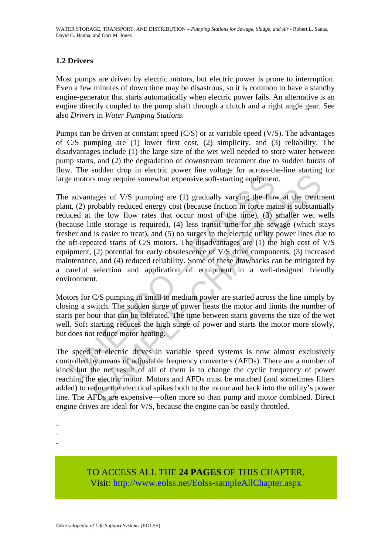# **1.2 Drivers**

Most pumps are driven by electric motors, but electric power is prone to interruption. Even a few minutes of down time may be disastrous, so it is common to have a standby engine-generator that starts automatically when electric power fails. An alternative is an engine directly coupled to the pump shaft through a clutch and a right angle gear. See also *Drivers* in *Water Pumping Stations.* 

Pumps can be driven at constant speed (C/S) or at variable speed (V/S). The advantages of C/S pumping are (1) lower first cost, (2) simplicity, and (3) reliability. The disadvantages include (1) the large size of the wet well needed to store water between pump starts, and (2) the degradation of downstream treatment due to sudden bursts of flow. The sudden drop in electric power line voltage for across-the-line starting for large motors may require somewhat expensive soft-starting equipment.

e motors may require somewhat expensive soft-starting equipmen<br>advantages of V/S pumping are (1) gradually varying the flove<br>t, (2) probably reduced energy cost (because friction in force mas<br>cloced at the low flow rates t It also stay to the most stay and the mother of the mother of the method (and somewhall by the moreover than the stay and the state of the state of the state of the state of the state of the state of the state of the state The advantages of V/S pumping are (1) gradually varying the flow at the treatment plant, (2) probably reduced energy cost (because friction in force mains is substantially reduced at the low flow rates that occur most of the time), (3) smaller wet wells (because little storage is required), (4) less transit time for the sewage (which stays fresher and is easier to treat), and (5) no surges in the electric utility power lines due to the oft-repeated starts of C/S motors. The disadvantages are (1) the high cost of V/S equipment, (2) potential for early obsolescence of V/S drive components, (3) increased maintenance, and (4) reduced reliability. Some of these drawbacks can be mitigated by a careful selection and application of equipment in a well-designed friendly environment.

Motors for C/S pumping in small to medium power are started across the line simply by closing a switch. The sudden surge of power heats the motor and limits the number of starts per hour that can be tolerated. The time between starts governs the size of the wet well. Soft starting reduces the high surge of power and starts the motor more slowly, but does not reduce motor heating.

The speed of electric drives in variable speed systems is now almost exclusively controlled by means of adjustable frequency converters (AFDs). There are a number of kinds but the net result of all of them is to change the cyclic frequency of power reaching the electric motor. Motors and AFDs must be matched (and sometimes filters added) to reduce the electrical spikes both to the motor and back into the utility's power line. The AFDs are expensive—often more so than pump and motor combined. Direct engine drives are ideal for V/S, because the engine can be easily throttled.

-

-

-

TO ACCESS ALL THE **24 PAGES** OF THIS CHAPTER, Visit[: http://www.eolss.net/Eolss-sampleAllChapter.aspx](https://www.eolss.net/ebooklib/sc_cart.aspx?File=E2-12-04-03)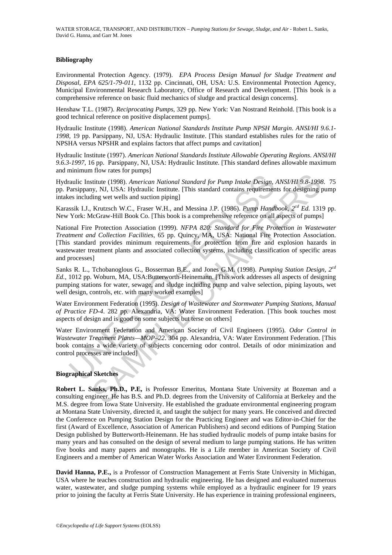#### **Bibliography**

Environmental Protection Agency. (1979). *EPA Process Design Manual for Sludge Treatment and Disposal*, *EPA 625/1-79-011*, 1132 pp. Cincinnati, OH, USA: U.S. Environmental Protection Agency, Municipal Environmental Research Laboratory, Office of Research and Development. [This book is a comprehensive reference on basic fluid mechanics of sludge and practical design concerns].

Henshaw T.L. (1987). *Reciprocating Pumps*, 329 pp. New York: Van Nostrand Reinhold. [This book is a good technical reference on positive displacement pumps].

Hydraulic Institute (1998). *American National Standards Institute Pump NPSH Margin*. *ANSI/HI 9.6.1- 1998*, 19 pp. Parsippany, NJ, USA: Hydraulic Institute. [This standard establishes rules for the ratio of NPSHA versus NPSHR and explains factors that affect pumps and cavitation]

Hydraulic Institute (1997). *American National Standards Institute Allowable Operating Regions*. *ANSI/HI 9.6.3-1997*, 16 pp. Parsippany, NJ, USA: Hydraulic Institute. [This standard defines allowable maximum and minimum flow rates for pumps]

Hydraulic Institute (1998). *American National Standard for Pump Intake Design, ANSI/HI 9.8-1998*. 75 pp. Parsippany, NJ, USA: Hydraulic Institute. [This standard contains requirements for designing pump intakes including wet wells and suction piping]

Karassik I.J., Krutzsch W.C., Fraser W.H., and Messina J.P. (1986). *Pump Handbook*, *2cd Ed.* 1319 pp. New York: McGraw-Hill Book Co. [This book is a comprehensive reference on all aspects of pumps]

raulic Institute (1998). *American National Standard for Pump Intake Design,* Parsippany, NJ, USA: Hydraulic Institute. [This standard contains requirement es including wet wells and suction piping]<br>
Sisik I.J., Krutzsch W stitute (1998). *American Mational Standard for Pump Intake Design, ANSI/H1 9.8-1998*<br>
y, NJ, USA: Hydraulic Institute. [This standard dornains requirements for designing<br>
ilng wet wells and suction pipig]<br>
ilng wet wells National Fire Protection Association (1999). *NFPA 820: Standard for Fire Protection in Wastewater Treatment and Collection Facilities*, 65 pp. Quincy, MA, USA: National Fire Protection Association. [This standard provides minimum requirements for protection from fire and explosion hazards in wastewater treatment plants and associated collection systems, including classification of specific areas and processes]

Sanks R. L., Tchobanoglous G., Bosserman B.E., and Jones G.M. (1998). *Pumping Station Design, 2cd Ed.,* 1012 pp. Woburn, MA, USA:Butterworth-Heinemann. [This work addresses all aspects of designing pumping stations for water, sewage, and sludge including pump and valve selection, piping layouts, wet well design, controls, etc. with many worked examples]

Water Environment Federation (1995). *Design of Wastewater and Stormwater Pumping Stations, Manual of Practice FD-4*. 282 pp. Alexandria, VA: Water Environment Federation. [This book touches most aspects of design and is good on some subjects but terse on others]

Water Environment Federation and American Society of Civil Engineers (1995). *Odor Control in Wastewater Treatment Plants—MOP–22*. 304 pp. Alexandria, VA: Water Environment Federation. [This book contains a wide variety of subjects concerning odor control. Details of odor minimization and control processes are included]

#### **Biographical Sketches**

**Robert L. Sanks, Ph.D., P.E,** is Professor Emeritus, Montana State University at Bozeman and a consulting engineer. He has B.S. and Ph.D. degrees from the University of California at Berkeley and the M.S. degree from Iowa State University. He established the graduate environmental engineering program at Montana State University, directed it, and taught the subject for many years. He conceived and directed the Conference on Pumping Station Design for the Practicing Engineer and was Editor-in-Chief for the first (Award of Excellence, Association of American Publishers) and second editions of Pumping Station Design published by Butterworth-Heinemann. He has studied hydraulic models of pump intake basins for many years and has consulted on the design of several medium to large pumping stations. He has written five books and many papers and monographs. He is a Life member in American Society of Civil Engineers and a member of American Water Works Association and Water Environment Federation.

**David Hanna, P.E.,** is a Professor of Construction Management at Ferris State University in Michigan, USA where he teaches construction and hydraulic engineering. He has designed and evaluated numerous water, wastewater, and sludge pumping systems while employed as a hydraulic engineer for 19 years prior to joining the faculty at Ferris State University. He has experience in training professional engineers,